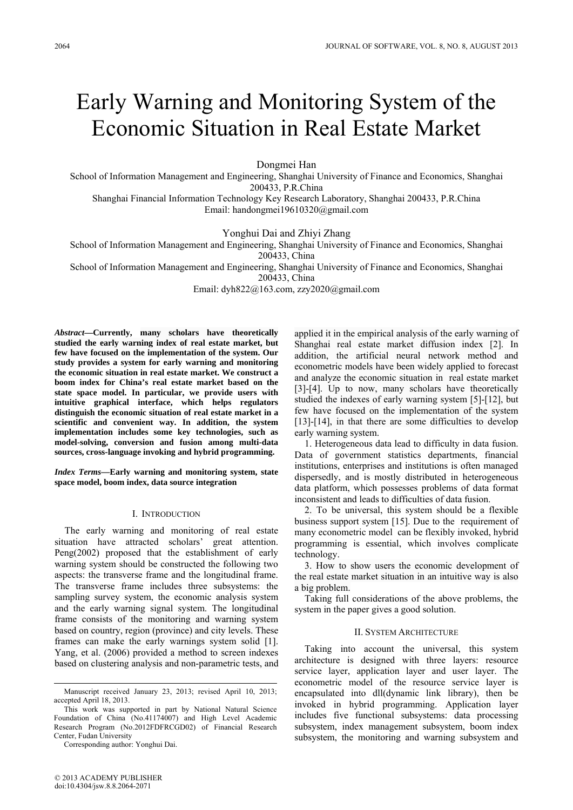# Early Warning and Monitoring System of the Economic Situation in Real Estate Market

Dongmei Han

School of Information Management and Engineering, Shanghai University of Finance and Economics, Shanghai 200433, P.R.China

Shanghai Financial Information Technology Key Research Laboratory, Shanghai 200433, P.R.China Email: handongmei19610320@gmail.com

Yonghui Dai and Zhiyi Zhang

School of Information Management and Engineering, Shanghai University of Finance and Economics, Shanghai 200433, China

School of Information Management and Engineering, Shanghai University of Finance and Economics, Shanghai 200433, China

Email: dyh822@163.com, zzy2020@gmail.com

*Abstract***—Currently, many scholars have theoretically studied the early warning index of real estate market, but few have focused on the implementation of the system. Our study provides a system for early warning and monitoring the economic situation in real estate market. We construct a boom index for China's real estate market based on the state space model. In particular, we provide users with intuitive graphical interface, which helps regulators distinguish the economic situation of real estate market in a scientific and convenient way. In addition, the system implementation includes some key technologies, such as model-solving, conversion and fusion among multi-data sources, cross-language invoking and hybrid programming.** 

*Index Terms***—Early warning and monitoring system, state space model, boom index, data source integration** 

#### I. INTRODUCTION

The early warning and monitoring of real estate situation have attracted scholars' great attention. Peng(2002) proposed that the establishment of early warning system should be constructed the following two aspects: the transverse frame and the longitudinal frame. The transverse frame includes three subsystems: the sampling survey system, the economic analysis system and the early warning signal system. The longitudinal frame consists of the monitoring and warning system based on country, region (province) and city levels. These frames can make the early warnings system solid [1]. Yang, et al. (2006) provided a method to screen indexes based on clustering analysis and non-parametric tests, and

Corresponding author: Yonghui Dai.

applied it in the empirical analysis of the early warning of Shanghai real estate market diffusion index [2]. In addition, the artificial neural network method and econometric models have been widely applied to forecast and analyze the economic situation in real estate market [3]-[4]. Up to now, many scholars have theoretically studied the indexes of early warning system [5]-[12], but few have focused on the implementation of the system [13]-[14], in that there are some difficulties to develop early warning system.

1. Heterogeneous data lead to difficulty in data fusion. Data of government statistics departments, financial institutions, enterprises and institutions is often managed dispersedly, and is mostly distributed in heterogeneous data platform, which possesses problems of data format inconsistent and leads to difficulties of data fusion.

2. To be universal, this system should be a flexible business support system [15]. Due to the requirement of many econometric model can be flexibly invoked, hybrid programming is essential, which involves complicate technology.

3. How to show users the economic development of the real estate market situation in an intuitive way is also a big problem.

Taking full considerations of the above problems, the system in the paper gives a good solution.

# II. SYSTEM ARCHITECTURE

Taking into account the universal, this system architecture is designed with three layers: resource service layer, application layer and user layer. The econometric model of the resource service layer is encapsulated into dll(dynamic link library), then be invoked in hybrid programming. Application layer includes five functional subsystems: data processing subsystem, index management subsystem, boom index subsystem, the monitoring and warning subsystem and

Manuscript received January 23, 2013; revised April 10, 2013; accepted April 18, 2013.

This work was supported in part by National Natural Science Foundation of China (No.41174007) and High Level Academic Research Program (No.2012FDFRCGD02) of Financial Research Center, Fudan University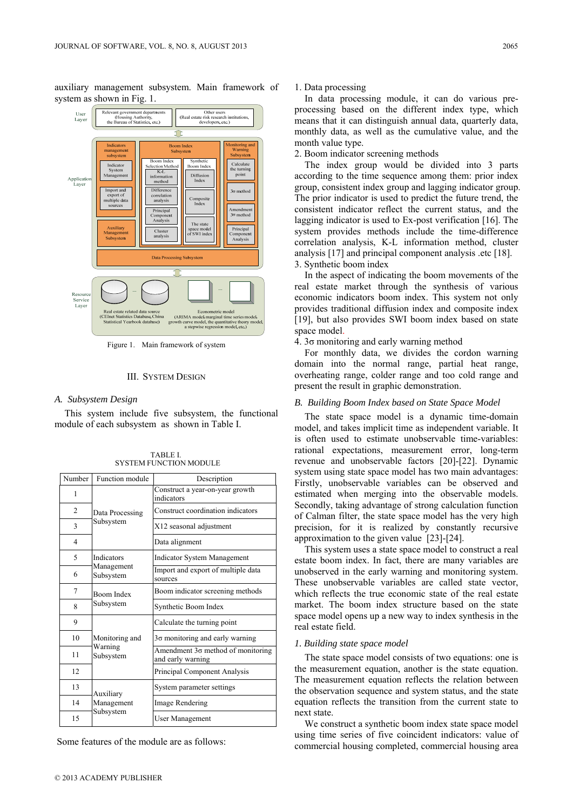auxiliary management subsystem. Main framework of system as shown in Fig. 1.



Figure 1. Main framework of system

## III. SYSTEM DESIGN

## *A. Subsystem Design*

This system include five subsystem, the functional module of each subsystem as shown in Table I.

| Number | Function module                        | Description                                            |
|--------|----------------------------------------|--------------------------------------------------------|
| 1      | Data Processing<br>Subsystem           | Construct a year-on-year growth<br>indicators          |
| 2      |                                        | Construct coordination indicators                      |
| 3      |                                        | X12 seasonal adjustment                                |
| 4      |                                        | Data alignment                                         |
| 5      | Indicators<br>Management<br>Subsystem  | <b>Indicator System Management</b>                     |
| 6      |                                        | Import and export of multiple data<br>sources          |
| 7      | Boom Index<br>Subsystem                | Boom indicator screening methods                       |
| 8      |                                        | Synthetic Boom Index                                   |
| 9      | Monitoring and<br>Warning<br>Subsystem | Calculate the turning point                            |
| 10     |                                        | $3\sigma$ monitoring and early warning                 |
| 11     |                                        | Amendment 3o method of monitoring<br>and early warning |
| 12     |                                        | Principal Component Analysis                           |
| 13     | Auxiliary<br>Management<br>Subsystem   | System parameter settings                              |
| 14     |                                        | Image Rendering                                        |
| 15     |                                        | User Management                                        |

TABLE I. SYSTEM FUNCTION MODULE

Some features of the module are as follows:

#### 1. Data processing

In data processing module, it can do various preprocessing based on the different index type, which means that it can distinguish annual data, quarterly data, monthly data, as well as the cumulative value, and the month value type.

2. Boom indicator screening methods

The index group would be divided into 3 parts according to the time sequence among them: prior index group, consistent index group and lagging indicator group. The prior indicator is used to predict the future trend, the consistent indicator reflect the current status, and the lagging indicator is used to Ex-post verification [16]. The system provides methods include the time-difference correlation analysis, K-L information method, cluster analysis [17] and principal component analysis .etc [18]. 3. Synthetic boom index

In the aspect of indicating the boom movements of the real estate market through the synthesis of various economic indicators boom index. This system not only provides traditional diffusion index and composite index [19], but also provides SWI boom index based on state space model.

4. 3σ monitoring and early warning method

For monthly data, we divides the cordon warning domain into the normal range, partial heat range, overheating range, colder range and too cold range and present the result in graphic demonstration.

#### *B. Building Boom Index based on State Space Model*

The state space model is a dynamic time-domain model, and takes implicit time as independent variable. It is often used to estimate unobservable time-variables: rational expectations, measurement error, long-term revenue and unobservable factors [20]-[22]. Dynamic system using state space model has two main advantages: Firstly, unobservable variables can be observed and estimated when merging into the observable models. Secondly, taking advantage of strong calculation function of Calman filter, the state space model has the very high precision, for it is realized by constantly recursive approximation to the given value [23]-[24].

This system uses a state space model to construct a real estate boom index. In fact, there are many variables are unobserved in the early warning and monitoring system. These unobservable variables are called state vector, which reflects the true economic state of the real estate market. The boom index structure based on the state space model opens up a new way to index synthesis in the real estate field.

#### *1. Building state space model*

The state space model consists of two equations: one is the measurement equation, another is the state equation. The measurement equation reflects the relation between the observation sequence and system status, and the state equation reflects the transition from the current state to next state.

We construct a synthetic boom index state space model using time series of five coincident indicators: value of commercial housing completed, commercial housing area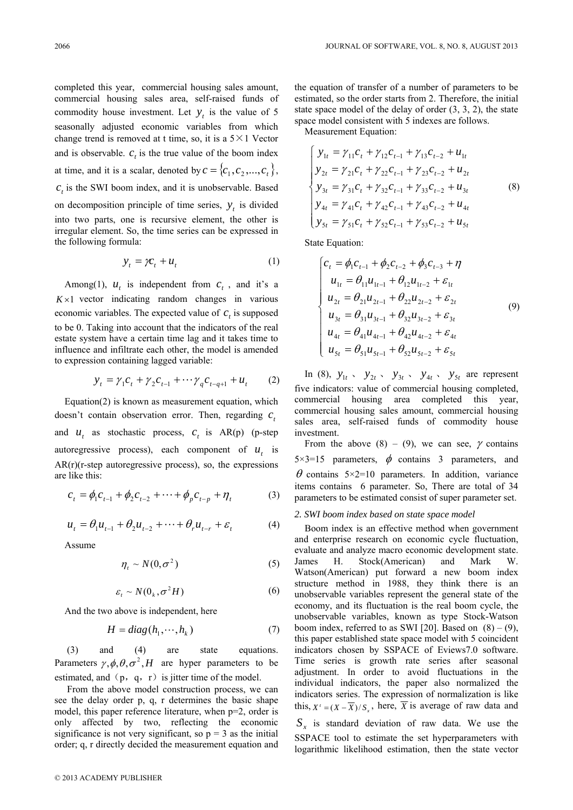completed this year, commercial housing sales amount, commercial housing sales area, self-raised funds of commodity house investment. Let  $y_t$  is the value of 5 seasonally adjusted economic variables from which change trend is removed at t time, so, it is a  $5 \times 1$  Vector and is observable.  $c<sub>t</sub>$  is the true value of the boom index at time, and it is a scalar, denoted by  $c = \{c_1, c_2, ..., c_t\}$ ,  $c<sub>t</sub>$  is the SWI boom index, and it is unobservable. Based on decomposition principle of time series,  $y_t$  is divided into two parts, one is recursive element, the other is irregular element. So, the time series can be expressed in the following formula:

$$
y_t = \gamma c_t + u_t \tag{1}
$$

Among(1),  $u_t$  is independent from  $c_t$ , and it's a  $K \times 1$  vector indicating random changes in various economic variables. The expected value of  $c<sub>t</sub>$  is supposed to be 0. Taking into account that the indicators of the real estate system have a certain time lag and it takes time to influence and infiltrate each other, the model is amended to expression containing lagged variable:

$$
y_{t} = \gamma_{1}c_{t} + \gamma_{2}c_{t-1} + \cdots \gamma_{q}c_{t-q+1} + u_{t}
$$
 (2)

Equation(2) is known as measurement equation, which doesn't contain observation error. Then, regarding *c*, and  $u_t$  as stochastic process,  $c_t$  is  $AR(p)$  (p-step autoregressive process), each component of  $u_t$  is  $AR(r)(r-step autoregressive process)$ , so, the expressions are like this:

$$
c_{t} = \phi_{1} c_{t-1} + \phi_{2} c_{t-2} + \dots + \phi_{p} c_{t-p} + \eta_{t}
$$
 (3)

$$
u_{t} = \theta_{1} u_{t-1} + \theta_{2} u_{t-2} + \dots + \theta_{r} u_{t-r} + \varepsilon_{t}
$$
 (4)

Assume

$$
\eta_t \sim N(0, \sigma^2) \tag{5}
$$

$$
\varepsilon_t \sim N(\mathbf{0}_k, \sigma^2 H) \tag{6}
$$

And the two above is independent, here

$$
H = diag(h_1, \cdots, h_k) \tag{7}
$$

 (3) and (4) are state equations. Parameters  $\gamma$ ,  $\phi$ ,  $\theta$ ,  $\sigma^2$ , *H* are hyper parameters to be estimated, and  $(p, q, r)$  is jitter time of the model.

 From the above model construction process, we can see the delay order p, q, r determines the basic shape model, this paper reference literature, when p=2, order is only affected by two, reflecting the economic significance is not very significant, so  $p = 3$  as the initial order; q, r directly decided the measurement equation and the equation of transfer of a number of parameters to be estimated, so the order starts from 2. Therefore, the initial state space model of the delay of order (3, 3, 2), the state space model consistent with 5 indexes are follows.

Measurement Equation:

$$
\begin{cases}\ny_{1t} = \gamma_{11}c_t + \gamma_{12}c_{t-1} + \gamma_{13}c_{t-2} + u_{1t} \\
y_{2t} = \gamma_{21}c_t + \gamma_{22}c_{t-1} + \gamma_{23}c_{t-2} + u_{2t} \\
y_{3t} = \gamma_{31}c_t + \gamma_{32}c_{t-1} + \gamma_{33}c_{t-2} + u_{3t} \\
y_{4t} = \gamma_{41}c_t + \gamma_{42}c_{t-1} + \gamma_{43}c_{t-2} + u_{4t} \\
y_{5t} = \gamma_{51}c_t + \gamma_{52}c_{t-1} + \gamma_{53}c_{t-2} + u_{5t}\n\end{cases}
$$
\n(8)

State Equation:

$$
\begin{cases}\nc_t = \phi_1 c_{t-1} + \phi_2 c_{t-2} + \phi_3 c_{t-3} + \eta \\
u_{1t} = \theta_{11} u_{1t-1} + \theta_{12} u_{1t-2} + \varepsilon_{1t} \\
u_{2t} = \theta_{21} u_{2t-1} + \theta_{22} u_{2t-2} + \varepsilon_{2t} \\
u_{3t} = \theta_{31} u_{3t-1} + \theta_{32} u_{3t-2} + \varepsilon_{3t} \\
u_{4t} = \theta_{41} u_{4t-1} + \theta_{42} u_{4t-2} + \varepsilon_{4t} \\
u_{5t} = \theta_{51} u_{5t-1} + \theta_{52} u_{5t-2} + \varepsilon_{5t}\n\end{cases} \tag{9}
$$

In (8),  $y_{1t}$ ,  $y_{2t}$ ,  $y_{3t}$ ,  $y_{4t}$ ,  $y_{5t}$  are represent five indicators: value of commercial housing completed, commercial housing area completed this year, commercial housing sales amount, commercial housing sales area, self-raised funds of commodity house investment.

From the above (8) – (9), we can see,  $\gamma$  contains  $5 \times 3 = 15$  parameters,  $\phi$  contains 3 parameters, and  $\theta$  contains 5×2=10 parameters. In addition, variance items contains 6 parameter. So, There are total of 34 parameters to be estimated consist of super parameter set.

#### *2. SWI boom index based on state space model*

Boom index is an effective method when government and enterprise research on economic cycle fluctuation, evaluate and analyze macro economic development state. James H. Stock(American) and Mark W. Watson(American) put forward a new boom index structure method in 1988, they think there is an unobservable variables represent the general state of the economy, and its fluctuation is the real boom cycle, the unobservable variables, known as type Stock-Watson boom index, referred to as SWI [20]. Based on  $(8) - (9)$ , this paper established state space model with 5 coincident indicators chosen by SSPACE of Eviews7.0 software. Time series is growth rate series after seasonal adjustment. In order to avoid fluctuations in the individual indicators, the paper also normalized the indicators series. The expression of normalization is like this,  $X' = (X - \overline{X})/S_{X}$ , here,  $\overline{X}$  is average of raw data and  $S<sub>r</sub>$  is standard deviation of raw data. We use the SSPACE tool to estimate the set hyperparameters with logarithmic likelihood estimation, then the state vector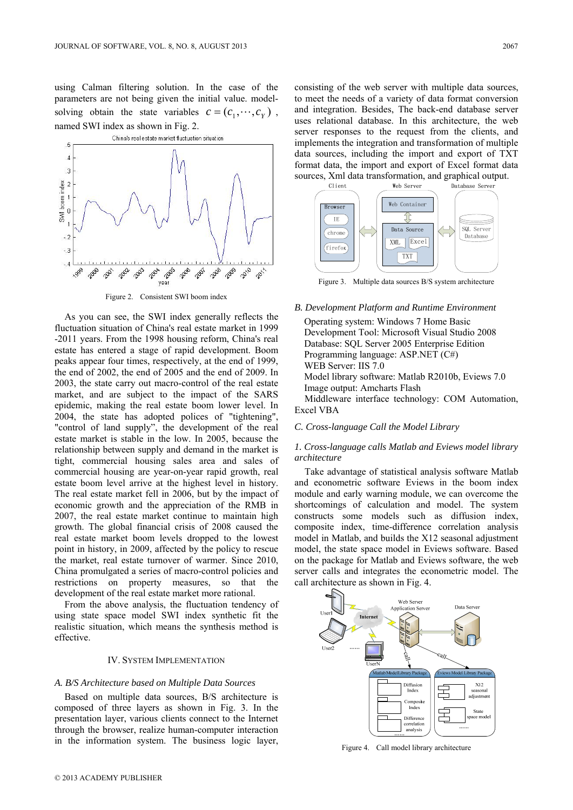using Calman filtering solution. In the case of the parameters are not being given the initial value. modelsolving obtain the state variables  $c = (c_1, \dots, c_v)$ , named SWI index as shown in Fig. 2.



Figure 2. Consistent SWI boom index

As you can see, the SWI index generally reflects the fluctuation situation of China's real estate market in 1999 -2011 years. From the 1998 housing reform, China's real estate has entered a stage of rapid development. Boom peaks appear four times, respectively, at the end of 1999, the end of 2002, the end of 2005 and the end of 2009. In 2003, the state carry out macro-control of the real estate market, and are subject to the impact of the SARS epidemic, making the real estate boom lower level. In 2004, the state has adopted polices of "tightening", "control of land supply", the development of the real estate market is stable in the low. In 2005, because the relationship between supply and demand in the market is tight, commercial housing sales area and sales of commercial housing are year-on-year rapid growth, real estate boom level arrive at the highest level in history. The real estate market fell in 2006, but by the impact of economic growth and the appreciation of the RMB in 2007, the real estate market continue to maintain high growth. The global financial crisis of 2008 caused the real estate market boom levels dropped to the lowest point in history, in 2009, affected by the policy to rescue the market, real estate turnover of warmer. Since 2010, China promulgated a series of macro-control policies and restrictions on property measures, so that the development of the real estate market more rational.

From the above analysis, the fluctuation tendency of using state space model SWI index synthetic fit the realistic situation, which means the synthesis method is effective.

#### IV. SYSTEM IMPLEMENTATION

#### *A. B/S Architecture based on Multiple Data Sources*

Based on multiple data sources, B/S architecture is composed of three layers as shown in Fig. 3. In the presentation layer, various clients connect to the Internet through the browser, realize human-computer interaction in the information system. The business logic layer, consisting of the web server with multiple data sources, to meet the needs of a variety of data format conversion and integration. Besides, The back-end database server uses relational database. In this architecture, the web server responses to the request from the clients, and implements the integration and transformation of multiple data sources, including the import and export of TXT format data, the import and export of Excel format data sources, Xml data transformation, and graphical output.



Figure 3. Multiple data sources B/S system architecture

*B. Development Platform and Runtime Environment* Operating system: Windows 7 Home Basic Development Tool: Microsoft Visual Studio 2008 Database: SQL Server 2005 Enterprise Edition Programming language: ASP.NET (C#) WEB Server: IIS 7.0

Model library software: Matlab R2010b, Eviews 7.0 Image output: Amcharts Flash

Middleware interface technology: COM Automation, Excel VBA

# *C. Cross-language Call the Model Library*

# *1. Cross-language calls Matlab and Eviews model library architecture*

Take advantage of statistical analysis software Matlab and econometric software Eviews in the boom index module and early warning module, we can overcome the shortcomings of calculation and model. The system constructs some models such as diffusion index, composite index, time-difference correlation analysis model in Matlab, and builds the X12 seasonal adjustment model, the state space model in Eviews software. Based on the package for Matlab and Eviews software, the web server calls and integrates the econometric model. The call architecture as shown in Fig. 4.



Figure 4. Call model library architecture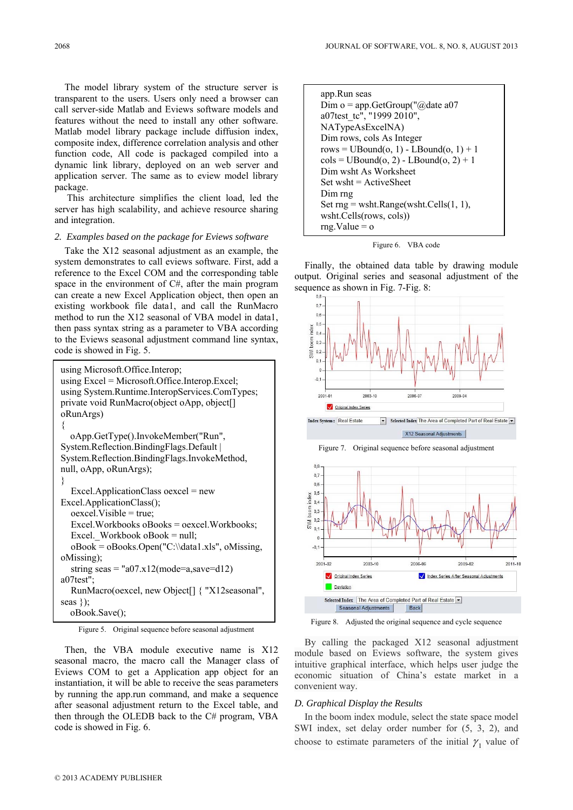The model library system of the structure server is transparent to the users. Users only need a browser can call server-side Matlab and Eviews software models and features without the need to install any other software. Matlab model library package include diffusion index, composite index, difference correlation analysis and other function code, All code is packaged compiled into a dynamic link library, deployed on an web server and application server. The same as to eview model library package.

 This architecture simplifies the client load, led the server has high scalability, and achieve resource sharing and integration.

# *2. Examples based on the package for Eviews software*

Take the X12 seasonal adjustment as an example, the system demonstrates to call eviews software. First, add a reference to the Excel COM and the corresponding table space in the environment of C#, after the main program can create a new Excel Application object, then open an existing workbook file data1, and call the RunMacro method to run the X12 seasonal of VBA model in data1, then pass syntax string as a parameter to VBA according to the Eviews seasonal adjustment command line syntax, code is showed in Fig. 5.

```
using Microsoft.Office.Interop; 
using Excel = Microsoft.Office.Interop.Excel; 
using System.Runtime.InteropServices.ComTypes; 
private void RunMacro(object oApp, object[] 
oRunArgs) 
{ 
  oApp.GetType().InvokeMember("Run", 
System.Reflection.BindingFlags.Default | 
System.Reflection.BindingFlags.InvokeMethod, 
null, oApp, oRunArgs); 
} 
  Excel.ApplicationClass oexcel = new 
Excel.ApplicationClass();
  oexcel.Visible = true; 
  Excel.Workbooks oBooks = oexcel.Workbooks; 
  Excel. Workbook \alphaBook = null;
  oBook = oBooks.Open("C:\\data1.xls", oMissing, 
oMissing); 
  string seas = "a07.x12(mode=a,save=d12)
a07test"; 
  RunMacro(oexcel, new Object[] { "X12seasonal", 
seas }); 
  oBook.Save();
```
Figure 5. Original sequence before seasonal adjustment

Then, the VBA module executive name is X12 seasonal macro, the macro call the Manager class of Eviews COM to get a Application app object for an instantiation, it will be able to receive the seas parameters by running the app.run command, and make a sequence after seasonal adjustment return to the Excel table, and then through the OLEDB back to the C# program, VBA code is showed in Fig. 6.

| app.Run seas                                                  |  |
|---------------------------------------------------------------|--|
| Dim o = app. GetGroup( $\degree$ @date a07                    |  |
| a07test_tc", "1999 2010",                                     |  |
| NATypeAsExcelNA)                                              |  |
| Dim rows, cols As Integer                                     |  |
| rows = $UBound(o, 1)$ - $LBound(o, 1)$ + 1                    |  |
| $\text{cols} = \text{UBound}(o, 2) - \text{LBound}(o, 2) + 1$ |  |
| Dim wsht As Worksheet                                         |  |
| $Set$ wsht = ActiveSheet                                      |  |
| Dim mg                                                        |  |
| Set $rng = wsht.Range(wsht.Cells(1, 1),$                      |  |
| wsht.Cells(rows, cols))                                       |  |
| $rng.Value = o$                                               |  |

Figure 6. VBA code

Finally, the obtained data table by drawing module output. Original series and seasonal adjustment of the sequence as shown in Fig. 7-Fig. 8:



X12 Seasonal Adjustments



Figure 8. Adjusted the original sequence and cycle sequence

By calling the packaged X12 seasonal adjustment module based on Eviews software, the system gives intuitive graphical interface, which helps user judge the economic situation of China's estate market in a convenient way.

#### *D. Graphical Display the Results*

In the boom index module, select the state space model SWI index, set delay order number for (5, 3, 2), and choose to estimate parameters of the initial  $\gamma_1$  value of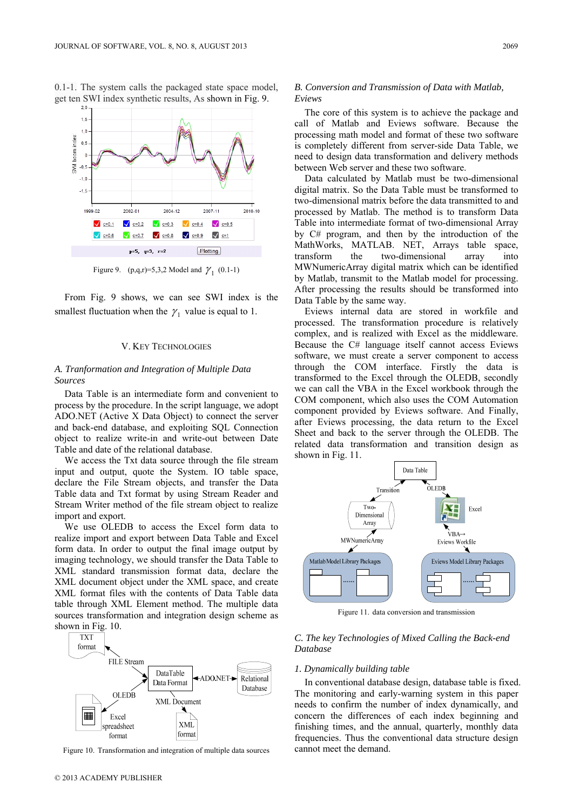

0.1-1. The system calls the packaged state space model, get ten SWI index synthetic results, As shown in Fig. 9.

Figure 9. (p,q,r)=5,3,2 Model and  $\gamma_1$  (0.1-1)

From Fig. 9 shows, we can see SWI index is the smallest fluctuation when the  $\gamma_1$  value is equal to 1.

#### V. KEY TECHNOLOGIES

# *A. Tranformation and Integration of Multiple Data Sources*

Data Table is an intermediate form and convenient to process by the procedure. In the script language, we adopt ADO.NET (Active X Data Object) to connect the server and back-end database, and exploiting SQL Connection object to realize write-in and write-out between Date Table and date of the relational database.

We access the Txt data source through the file stream input and output, quote the System. IO table space, declare the File Stream objects, and transfer the Data Table data and Txt format by using Stream Reader and Stream Writer method of the file stream object to realize import and export.

We use OLEDB to access the Excel form data to realize import and export between Data Table and Excel form data. In order to output the final image output by imaging technology, we should transfer the Data Table to XML standard transmission format data, declare the XML document object under the XML space, and create XML format files with the contents of Data Table data table through XML Element method. The multiple data sources transformation and integration design scheme as shown in Fig. 10.



Figure 10. Transformation and integration of multiple data sources

# *B. Conversion and Transmission of Data with Matlab, Eviews*

The core of this system is to achieve the package and call of Matlab and Eviews software. Because the processing math model and format of these two software is completely different from server-side Data Table, we need to design data transformation and delivery methods between Web server and these two software.

Data calculated by Matlab must be two-dimensional digital matrix. So the Data Table must be transformed to two-dimensional matrix before the data transmitted to and processed by Matlab. The method is to transform Data Table into intermediate format of two-dimensional Array by C# program, and then by the introduction of the MathWorks, MATLAB. NET, Arrays table space, transform the two-dimensional array into MWNumericArray digital matrix which can be identified by Matlab, transmit to the Matlab model for processing. After processing the results should be transformed into Data Table by the same way.

Eviews internal data are stored in workfile and processed. The transformation procedure is relatively complex, and is realized with Excel as the middleware. Because the C# language itself cannot access Eviews software, we must create a server component to access through the COM interface. Firstly the data is transformed to the Excel through the OLEDB, secondly we can call the VBA in the Excel workbook through the COM component, which also uses the COM Automation component provided by Eviews software. And Finally, after Eviews processing, the data return to the Excel Sheet and back to the server through the OLEDB. The related data transformation and transition design as shown in Fig. 11.



Figure 11. data conversion and transmission

# *C. The key Technologies of Mixed Calling the Back-end Database*

# *1. Dynamically building table*

In conventional database design, database table is fixed. The monitoring and early-warning system in this paper needs to confirm the number of index dynamically, and concern the differences of each index beginning and finishing times, and the annual, quarterly, monthly data frequencies. Thus the conventional data structure design cannot meet the demand.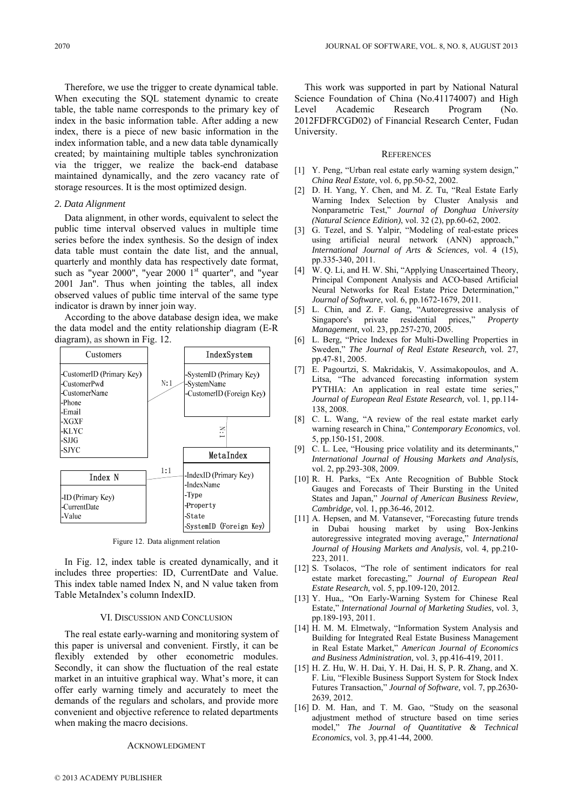Therefore, we use the trigger to create dynamical table. When executing the SQL statement dynamic to create table, the table name corresponds to the primary key of index in the basic information table. After adding a new index, there is a piece of new basic information in the index information table, and a new data table dynamically created; by maintaining multiple tables synchronization via the trigger, we realize the back-end database maintained dynamically, and the zero vacancy rate of storage resources. It is the most optimized design.

# *2. Data Alignment*

Data alignment, in other words, equivalent to select the public time interval observed values in multiple time series before the index synthesis. So the design of index data table must contain the date list, and the annual, quarterly and monthly data has respectively date format, such as "year 2000", "year 2000  $1<sup>st</sup>$  quarter", and "year 2001 Jan". Thus when jointing the tables, all index observed values of public time interval of the same type indicator is drawn by inner join way.

According to the above database design idea, we make the data model and the entity relationship diagram (E-R diagram), as shown in Fig. 12.



Figure 12. Data alignment relation

In Fig. 12, index table is created dynamically, and it includes three properties: ID, CurrentDate and Value. This index table named Index N, and N value taken from Table MetaIndex's column IndexID.

### VI. DISCUSSION AND CONCLUSION

The real estate early-warning and monitoring system of this paper is universal and convenient. Firstly, it can be flexibly extended by other econometric modules. Secondly, it can show the fluctuation of the real estate market in an intuitive graphical way. What's more, it can offer early warning timely and accurately to meet the demands of the regulars and scholars, and provide more convenient and objective reference to related departments when making the macro decisions.

# ACKNOWLEDGMENT

This work was supported in part by National Natural Science Foundation of China (No.41174007) and High Level Academic Research Program (No. 2012FDFRCGD02) of Financial Research Center, Fudan University.

#### **REFERENCES**

- [1] Y. Peng, "Urban real estate early warning system design," *China Real Estate*, vol. 6, pp.50-52, 2002.
- [2] D. H. Yang, Y. Chen, and M. Z. Tu, "Real Estate Early Warning Index Selection by Cluster Analysis and Nonparametric Test," *Journal of Donghua University (Natural Science Edition)*, vol. 32 (2), pp.60-62, 2002.
- [3] G. Tezel, and S. Yalpir, "Modeling of real-estate prices using artificial neural network (ANN) approach," *International Journal of Arts & Sciences,* vol. 4 (15), pp.335-340, 2011.
- [4] W. O. Li, and H. W. Shi, "Applying Unascertained Theory, Principal Component Analysis and ACO-based Artificial Neural Networks for Real Estate Price Determination," *Journal of Software*, vol. 6, pp.1672-1679, 2011.
- [5] L. Chin, and Z. F. Gang, "Autoregressive analysis of Singapore's private residential prices," *Property Management*, vol. 23, pp.257-270, 2005.
- [6] L. Berg, "Price Indexes for Multi-Dwelling Properties in Sweden," *The Journal of Real Estate Research,* vol. 27, pp.47-81, 2005.
- [7] E. Pagourtzi, S. Makridakis, V. Assimakopoulos, and A. Litsa, "The advanced forecasting information system PYTHIA: An application in real estate time series," *Journal of European Real Estate Research,* vol. 1, pp.114- 138, 2008.
- [8] C. L. Wang, "A review of the real estate market early warning research in China," *Contemporary Economics*, vol. 5, pp.150-151, 2008.
- [9] C. L. Lee, "Housing price volatility and its determinants," *International Journal of Housing Markets and Analysis*, vol. 2, pp.293-308, 2009.
- [10] R. H. Parks, "Ex Ante Recognition of Bubble Stock Gauges and Forecasts of Their Bursting in the United States and Japan," *Journal of American Business Review, Cambridge,* vol. 1, pp.36-46, 2012.
- [11] A. Hepsen, and M. Vatansever, "Forecasting future trends in Dubai housing market by using Box-Jenkins autoregressive integrated moving average," *International Journal of Housing Markets and Analysis,* vol. 4, pp.210- 223, 2011.
- [12] S. Tsolacos, "The role of sentiment indicators for real estate market forecasting," *Journal of European Real Estate Research,* vol. 5, pp.109-120, 2012.
- [13] Y. Hua,, "On Early-Warning System for Chinese Real Estate," *International Journal of Marketing Studies,* vol. 3, pp.189-193, 2011.
- [14] H. M. M. Elmetwaly, "Information System Analysis and Building for Integrated Real Estate Business Management in Real Estate Market," *American Journal of Economics and Business Administration,* vol. 3, pp.416-419, 2011.
- [15] H. Z. Hu, W. H. Dai, Y. H. Dai, H. S, P. R. Zhang, and X. F. Liu, "Flexible Business Support System for Stock Index Futures Transaction," *Journal of Software,* vol. 7, pp.2630- 2639, 2012.
- [16] D. M. Han, and T. M. Gao, "Study on the seasonal adjustment method of structure based on time series model," *The Journal of Quantitative & Technical Economics*, vol. 3, pp.41-44, 2000.